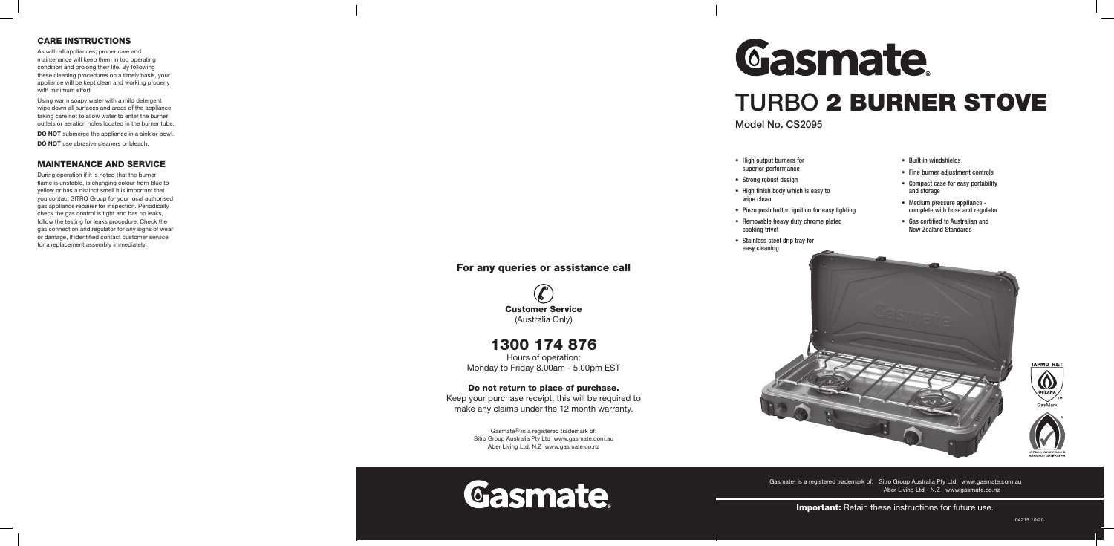- High output burners for superior performance
- Strong robust design
- High finish body which is easy to wipe clean
- 
- cooking trivet
- Stainless steel drip tray for easy cleaning
- 
- 
- 
- Piezo push button ignition for easy lighting
- Removable heavy duty chrome plated

- Built in windshields
- Fine burner adjustment controls
- Compact case for easy portability and storage
- Medium pressure appliance complete with hose and regulator
- Gas certified to Australian and New Zealand Standards

Gasmate® is a registered trademark of: Sitro Group Australia Pty Ltd www.gasmate.com.au Aber Living Ltd - N.Z www.gasmate.co.nz

**Important:** Retain these instructions for future use.

## TURBO 2 BURNER STOVE



#### For any queries or assistance call

Customer Service (Australia Only)

1300 174 876

Hours of operation: Monday to Friday 8.00am - 5.00pm EST

#### Do not return to place of purchase.

Keep your purchase receipt, this will be required to make any claims under the 12 month warranty.

> Gasmate® is a registered trademark of: Sitro Group Australia Pty Ltd www.gasmate.com.au Aber Living Ltd, N.Z www.gasmate.co.nz





# Gasmate

#### CARE INSTRUCTIONS

As with all appliances, proper care and maintenance will keep them in top operating condition and prolong their life. By following these cleaning procedures on a timely basis, your appliance will be kept clean and working properly with minimum effort

Using warm soapy water with a mild detergent wipe down all surfaces and areas of the appliance, taking care not to allow water to enter the burner outlets or aeration holes located in the burner tube.

**DO NOT** submerge the appliance in a sink or bowl.

**DO NOT** use abrasive cleaners or bleach.

#### MAINTENANCE AND SERVICE

During operation if it is noted that the burner flame is unstable, is changing colour from blue to yellow or has a distinct smell it is important that you contact SITRO Group for your local authorised gas appliance repairer for inspection. Periodically check the gas control is tight and has no leaks, follow the testing for leaks procedure. Check the gas connection and regulator for any signs of wear or damage, if identified contact customer service for a replacement assembly immediately.